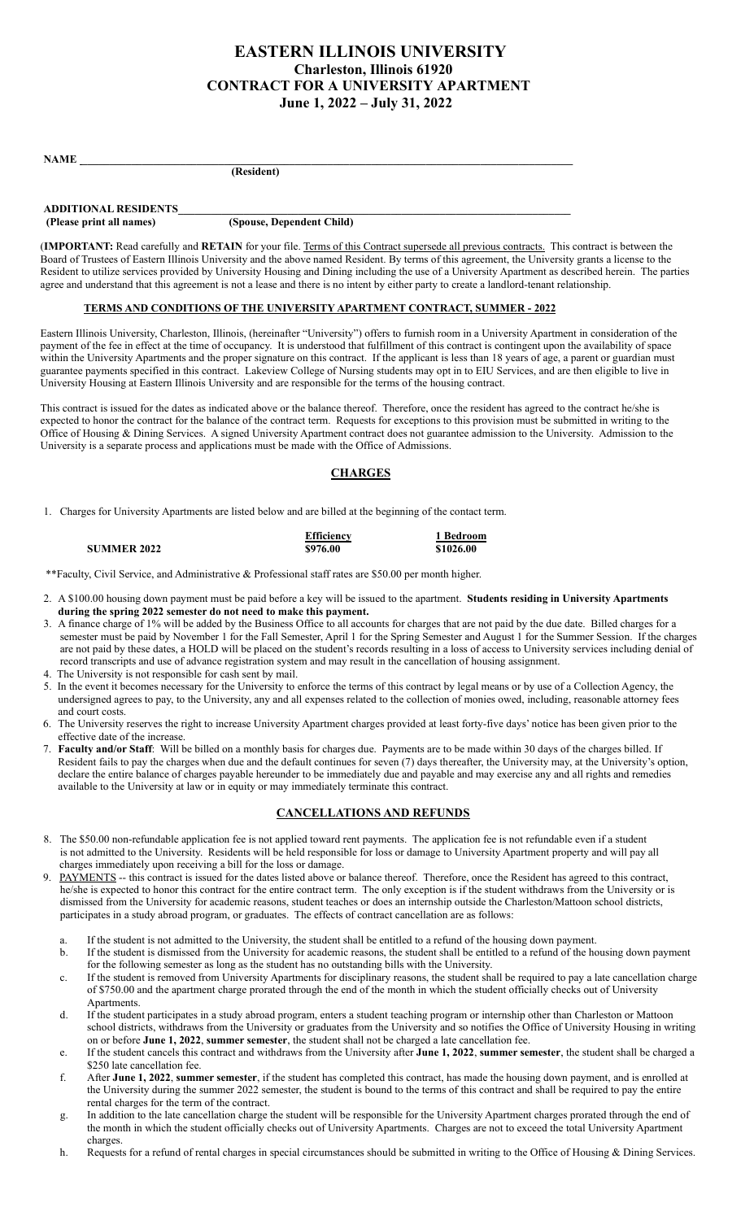# **EASTERN ILLINOIS UNIVERSITY Charleston, Illinois 61920 CONTRACT FOR A UNIVERSITY APARTMENT June 1, 2022 – July 31, 2022**

| <b>NAME</b> |  |  |  |
|-------------|--|--|--|
|             |  |  |  |

 **(Resident)**

| <b>ADDITIONAL RESIDENTS</b> |                           |
|-----------------------------|---------------------------|
| (Please print all names)    | (Spouse, Dependent Child) |

(**IMPORTANT:** Read carefully and **RETAIN** for your file. Terms of this Contract supersede all previous contracts. This contract is between the Board of Trustees of Eastern Illinois University and the above named Resident. By terms of this agreement, the University grants a license to the Resident to utilize services provided by University Housing and Dining including the use of a University Apartment as described herein. The parties agree and understand that this agreement is not a lease and there is no intent by either party to create a landlord-tenant relationship.

#### **TERMS AND CONDITIONS OF THE UNIVERSITY APARTMENT CONTRACT, SUMMER - 2022**

Eastern Illinois University, Charleston, Illinois, (hereinafter "University") offers to furnish room in a University Apartment in consideration of the payment of the fee in effect at the time of occupancy. It is understood that fulfillment of this contract is contingent upon the availability of space within the University Apartments and the proper signature on this contract. If the applicant is less than 18 years of age, a parent or guardian must guarantee payments specified in this contract. Lakeview College of Nursing students may opt in to EIU Services, and are then eligible to live in University Housing at Eastern Illinois University and are responsible for the terms of the housing contract.

This contract is issued for the dates as indicated above or the balance thereof. Therefore, once the resident has agreed to the contract he/she is expected to honor the contract for the balance of the contract term. Requests for exceptions to this provision must be submitted in writing to the Office of Housing & Dining Services. A signed University Apartment contract does not guarantee admission to the University. Admission to the University is a separate process and applications must be made with the Office of Admissions.

## **CHARGES**

1. Charges for University Apartments are listed below and are billed at the beginning of the contact term.

|                    | <b>Efficiency</b> | 1 Bedroom |
|--------------------|-------------------|-----------|
| <b>SUMMER 2022</b> | \$976.00          | \$1026.00 |
|                    |                   |           |

\*\*Faculty, Civil Service, and Administrative & Professional staff rates are \$50.00 per month higher.

- 2. A \$100.00 housing down payment must be paid before a key will be issued to the apartment. **Students residing in University Apartments during the spring 2022 semester do not need to make this payment.**
- 3. A finance charge of 1% will be added by the Business Office to all accounts for charges that are not paid by the due date. Billed charges for a semester must be paid by November 1 for the Fall Semester, April 1 for the Spring Semester and August 1 for the Summer Session. If the charges are not paid by these dates, a HOLD will be placed on the student's records resulting in a loss of access to University services including denial of record transcripts and use of advance registration system and may result in the cancellation of housing assignment.
- 4. The University is not responsible for cash sent by mail.
- 5. In the event it becomes necessary for the University to enforce the terms of this contract by legal means or by use of a Collection Agency, the undersigned agrees to pay, to the University, any and all expenses related to the collection of monies owed, including, reasonable attorney fees and court costs.
- 6. The University reserves the right to increase University Apartment charges provided at least forty-five days' notice has been given prior to the effective date of the increase.
- 7. **Faculty and/or Staff**: Will be billed on a monthly basis for charges due. Payments are to be made within 30 days of the charges billed. If Resident fails to pay the charges when due and the default continues for seven (7) days thereafter, the University may, at the University's option, declare the entire balance of charges payable hereunder to be immediately due and payable and may exercise any and all rights and remedies available to the University at law or in equity or may immediately terminate this contract.

## **CANCELLATIONS AND REFUNDS**

- 8. The \$50.00 non-refundable application fee is not applied toward rent payments. The application fee is not refundable even if a student is not admitted to the University. Residents will be held responsible for loss or damage to University Apartment property and will pay all charges immediately upon receiving a bill for the loss or damage.
- PAYMENTS -- this contract is issued for the dates listed above or balance thereof. Therefore, once the Resident has agreed to this contract, he/she is expected to honor this contract for the entire contract term. The only exception is if the student withdraws from the University or is dismissed from the University for academic reasons, student teaches or does an internship outside the Charleston/Mattoon school districts, participates in a study abroad program, or graduates. The effects of contract cancellation are as follows:
	- a. If the student is not admitted to the University, the student shall be entitled to a refund of the housing down payment.
	- b. If the student is dismissed from the University for academic reasons, the student shall be entitled to a refund of the housing down payment for the following semester as long as the student has no outstanding bills with the University.
	- c. If the student is removed from University Apartments for disciplinary reasons, the student shall be required to pay a late cancellation charge of \$750.00 and the apartment charge prorated through the end of the month in which the student officially checks out of University Apartments.
	- d. If the student participates in a study abroad program, enters a student teaching program or internship other than Charleston or Mattoon school districts, withdraws from the University or graduates from the University and so notifies the Office of University Housing in writing on or before **June 1, 2022**, **summer semester**, the student shall not be charged a late cancellation fee.
	- e. If the student cancels this contract and withdraws from the University after **June 1, 2022**, **summer semester**, the student shall be charged a \$250 late cancellation fee.
	- f. After **June 1, 2022**, **summer semester**, if the student has completed this contract, has made the housing down payment, and is enrolled at the University during the summer 2022 semester, the student is bound to the terms of this contract and shall be required to pay the entire rental charges for the term of the contract.
	- g. In addition to the late cancellation charge the student will be responsible for the University Apartment charges prorated through the end of the month in which the student officially checks out of University Apartments. Charges are not to exceed the total University Apartment charges.
	- h. Requests for a refund of rental charges in special circumstances should be submitted in writing to the Office of Housing & Dining Services.